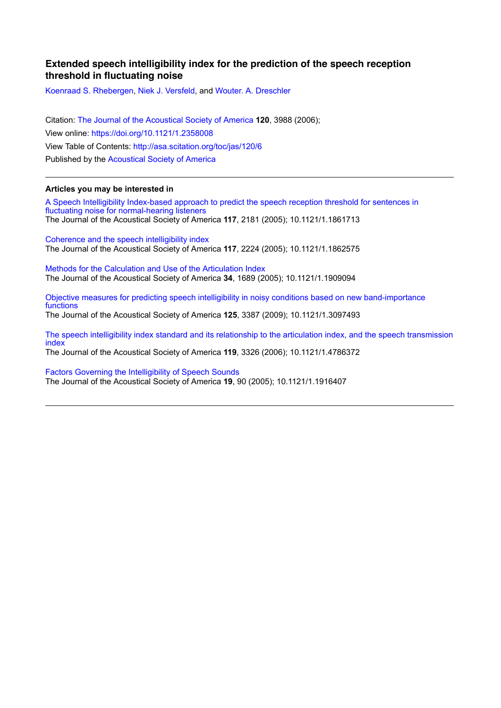## **Extended speech intelligibility index for the prediction of the speech reception threshold in fluctuating noise**

Koenraad S. Rhebergen, Niek J. Versfeld, and Wouter. A. Dreschler

Citation: The Journal of the Acoustical Society of America **120**, 3988 (2006); View online: https://doi.org/10.1121/1.2358008 View Table of Contents: http://asa.scitation.org/toc/jas/120/6 Published by the Acoustical Society of America

## **Articles you may be interested in**

A Speech Intelligibility Index-based approach to predict the speech reception threshold for sentences in fluctuating noise for normal-hearing listeners The Journal of the Acoustical Society of America **117**, 2181 (2005); 10.1121/1.1861713

Coherence and the speech intelligibility index The Journal of the Acoustical Society of America **117**, 2224 (2005); 10.1121/1.1862575

Methods for the Calculation and Use of the Articulation Index The Journal of the Acoustical Society of America **34**, 1689 (2005); 10.1121/1.1909094

Objective measures for predicting speech intelligibility in noisy conditions based on new band-importance functions

The Journal of the Acoustical Society of America **125**, 3387 (2009); 10.1121/1.3097493

The speech intelligibility index standard and its relationship to the articulation index, and the speech transmission index The Journal of the Acoustical Society of America **119**, 3326 (2006); 10.1121/1.4786372

Factors Governing the Intelligibility of Speech Sounds The Journal of the Acoustical Society of America **19**, 90 (2005); 10.1121/1.1916407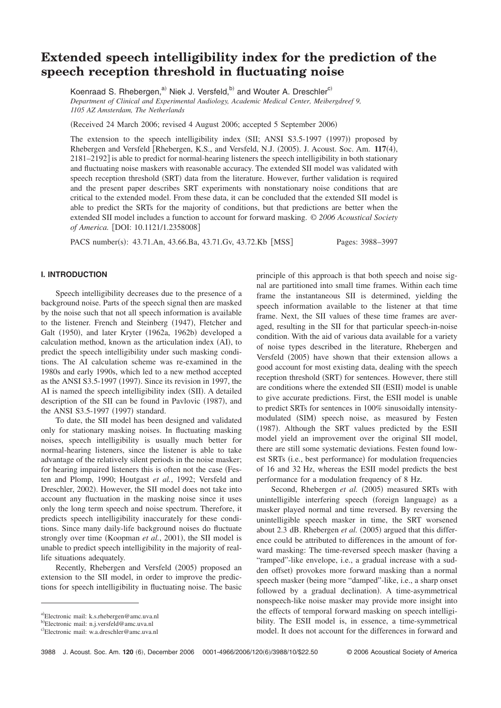# **Extended speech intelligibility index for the prediction of the speech reception threshold in fluctuating noise**

Koenraad S. Rhebergen,<sup>a)</sup> Niek J. Versfeld,<sup>b)</sup> and Wouter A. Dreschler<sup>c)</sup> *Department of Clinical and Experimental Audiology, Academic Medical Center, Meibergdreef 9, 1105 AZ Amsterdam, The Netherlands*

(Received 24 March 2006; revised 4 August 2006; accepted 5 September 2006)

The extension to the speech intelligibility index  $(SII; ANSI S3.5-1997 (1997))$  proposed by Rhebergen and Versfeld [Rhebergen, K.S., and Versfeld, N.J. (2005). J. Acoust. Soc. Am. 117(4),  $2181-2192$  is able to predict for normal-hearing listeners the speech intelligibility in both stationary and fluctuating noise maskers with reasonable accuracy. The extended SII model was validated with speech reception threshold (SRT) data from the literature. However, further validation is required and the present paper describes SRT experiments with nonstationary noise conditions that are critical to the extended model. From these data, it can be concluded that the extended SII model is able to predict the SRTs for the majority of conditions, but that predictions are better when the extended SII model includes a function to account for forward masking. © *2006 Acoustical Society* of America. [DOI: 10.1121/1.2358008]

PACS number(s): 43.71.An, 43.66.Ba, 43.71.Gv, 43.72.Kb [MSS] Pages: 3988–3997

## **I. INTRODUCTION**

Speech intelligibility decreases due to the presence of a background noise. Parts of the speech signal then are masked by the noise such that not all speech information is available to the listener. French and Steinberg (1947), Fletcher and Galt (1950), and later Kryter (1962a, 1962b) developed a calculation method, known as the articulation index (AI), to predict the speech intelligibility under such masking conditions. The AI calculation scheme was re-examined in the 1980s and early 1990s, which led to a new method accepted as the ANSI S3.5-1997 (1997). Since its revision in 1997, the AI is named the speech intelligibility index (SII). A detailed description of the SII can be found in Pavlovic (1987), and the ANSI S3.5-1997 (1997) standard.

To date, the SII model has been designed and validated only for stationary masking noises. In fluctuating masking noises, speech intelligibility is usually much better for normal-hearing listeners, since the listener is able to take advantage of the relatively silent periods in the noise masker; for hearing impaired listeners this is often not the case (Festen and Plomp, 1990; Houtgast *et al.*, 1992; Versfeld and Dreschler, 2002). However, the SII model does not take into account any fluctuation in the masking noise since it uses only the long term speech and noise spectrum. Therefore, it predicts speech intelligibility inaccurately for these conditions. Since many daily-life background noises do fluctuate strongly over time (Koopman *et al.*, 2001), the SII model is unable to predict speech intelligibility in the majority of reallife situations adequately.

Recently, Rhebergen and Versfeld (2005) proposed an extension to the SII model, in order to improve the predictions for speech intelligibility in fluctuating noise. The basic

principle of this approach is that both speech and noise signal are partitioned into small time frames. Within each time frame the instantaneous SII is determined, yielding the speech information available to the listener at that time frame. Next, the SII values of these time frames are averaged, resulting in the SII for that particular speech-in-noise condition. With the aid of various data available for a variety of noise types described in the literature, Rhebergen and Versfeld (2005) have shown that their extension allows a good account for most existing data, dealing with the speech reception threshold (SRT) for sentences. However, there still are conditions where the extended SII (ESII) model is unable to give accurate predictions. First, the ESII model is unable to predict SRTs for sentences in 100% sinusoidally intensitymodulated (SIM) speech noise, as measured by Festen (1987). Although the SRT values predicted by the ESII model yield an improvement over the original SII model, there are still some systematic deviations. Festen found lowest SRTs (i.e., best performance) for modulation frequencies of 16 and 32 Hz, whereas the ESII model predicts the best performance for a modulation frequency of 8 Hz.

Second, Rhebergen et al. (2005) measured SRTs with unintelligible interfering speech (foreign language) as a masker played normal and time reversed. By reversing the unintelligible speech masker in time, the SRT worsened about 2.3 dB. Rhebergen *et al.* (2005) argued that this difference could be attributed to differences in the amount of forward masking: The time-reversed speech masker (having a "ramped"-like envelope, i.e., a gradual increase with a sudden offset) provokes more forward masking than a normal speech masker (being more "damped"-like, i.e., a sharp onset followed by a gradual declination). A time-asymmetrical nonspeech-like noise masker may provide more insight into the effects of temporal forward masking on speech intelligibility. The ESII model is, in essence, a time-symmetrical model. It does not account for the differences in forward and

a)Electronic mail: k.s.rhebergen@amc.uva.nl

b" Electronic mail: n.j.versfeld@amc.uva.nl

c)Electronic mail: w.a.dreschler@amc.uva.nl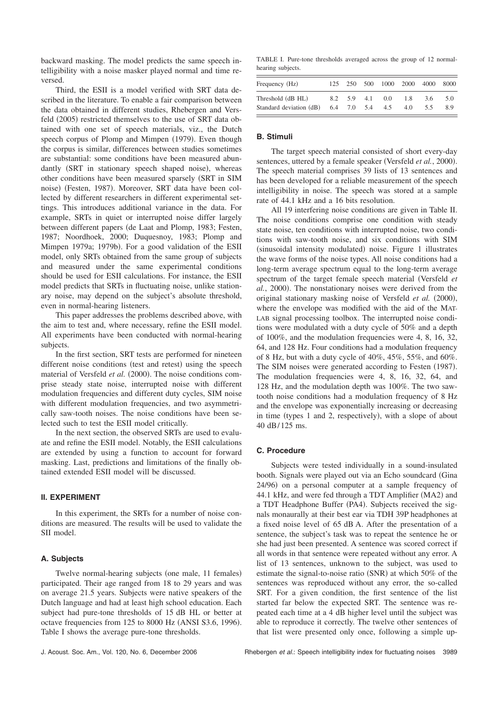backward masking. The model predicts the same speech intelligibility with a noise masker played normal and time reversed.

Third, the ESII is a model verified with SRT data described in the literature. To enable a fair comparison between the data obtained in different studies, Rhebergen and Versfeld (2005) restricted themselves to the use of SRT data obtained with one set of speech materials, viz., the Dutch speech corpus of Plomp and Mimpen (1979). Even though the corpus is similar, differences between studies sometimes are substantial: some conditions have been measured abundantly (SRT in stationary speech shaped noise), whereas other conditions have been measured sparsely (SRT in SIM noise) (Festen, 1987). Moreover, SRT data have been collected by different researchers in different experimental settings. This introduces additional variance in the data. For example, SRTs in quiet or interrupted noise differ largely between different papers (de Laat and Plomp, 1983; Festen, 1987; Noordhoek, 2000; Duquesnoy, 1983; Plomp and Mimpen 1979a; 1979b). For a good validation of the ESII model, only SRTs obtained from the same group of subjects and measured under the same experimental conditions should be used for ESII calculations. For instance, the ESII model predicts that SRTs in fluctuating noise, unlike stationary noise, may depend on the subject's absolute threshold, even in normal-hearing listeners.

This paper addresses the problems described above, with the aim to test and, where necessary, refine the ESII model. All experiments have been conducted with normal-hearing subjects.

In the first section, SRT tests are performed for nineteen different noise conditions (test and retest) using the speech material of Versfeld *et al.* (2000). The noise conditions comprise steady state noise, interrupted noise with different modulation frequencies and different duty cycles, SIM noise with different modulation frequencies, and two asymmetrically saw-tooth noises. The noise conditions have been selected such to test the ESII model critically.

In the next section, the observed SRTs are used to evaluate and refine the ESII model. Notably, the ESII calculations are extended by using a function to account for forward masking. Last, predictions and limitations of the finally obtained extended ESII model will be discussed.

#### **II. EXPERIMENT**

In this experiment, the SRTs for a number of noise conditions are measured. The results will be used to validate the SII model.

## **A. Subjects**

Twelve normal-hearing subjects (one male, 11 females) participated. Their age ranged from 18 to 29 years and was on average 21.5 years. Subjects were native speakers of the Dutch language and had at least high school education. Each subject had pure-tone thresholds of 15 dB HL or better at octave frequencies from  $125$  to  $8000$  Hz (ANSI S3.6, 1996). Table I shows the average pure-tone thresholds.

TABLE I. Pure-tone thresholds averaged across the group of 12 normalhearing subjects.

| Frequency (Hz)          |  |                         |                 |     | 125 250 500 1000 2000 4000 8000 |     |
|-------------------------|--|-------------------------|-----------------|-----|---------------------------------|-----|
| Threshold (dB HL)       |  |                         | 8.2 5.9 4.1 0.0 | 18  | 36                              | 5.0 |
| Standard deviation (dB) |  | $6.4$ $7.0$ $5.4$ $4.5$ |                 | 4.0 | 5.5                             | 8.9 |

#### **B. Stimuli**

The target speech material consisted of short every-day sentences, uttered by a female speaker (Versfeld et al., 2000). The speech material comprises 39 lists of 13 sentences and has been developed for a reliable measurement of the speech intelligibility in noise. The speech was stored at a sample rate of 44.1 kHz and a 16 bits resolution.

All 19 interfering noise conditions are given in Table II. The noise conditions comprise one condition with steady state noise, ten conditions with interrupted noise, two conditions with saw-tooth noise, and six conditions with SIM (sinusoidal intensity modulated) noise. Figure 1 illustrates the wave forms of the noise types. All noise conditions had a long-term average spectrum equal to the long-term average spectrum of the target female speech material (Versfeld *et al.*, 2000). The nonstationary noises were derived from the original stationary masking noise of Versfeld et al. (2000), where the envelope was modified with the aid of the MAT-LAB signal processing toolbox. The interrupted noise conditions were modulated with a duty cycle of 50% and a depth of 100%, and the modulation frequencies were 4, 8, 16, 32, 64, and 128 Hz. Four conditions had a modulation frequency of 8 Hz, but with a duty cycle of 40%, 45%, 55%, and 60%. The SIM noises were generated according to Festen (1987). The modulation frequencies were 4, 8, 16, 32, 64, and 128 Hz, and the modulation depth was 100%. The two sawtooth noise conditions had a modulation frequency of 8 Hz and the envelope was exponentially increasing or decreasing in time (types  $1$  and  $2$ , respectively), with a slope of about 40 dB/ 125 ms.

#### **C. Procedure**

Subjects were tested individually in a sound-insulated booth. Signals were played out via an Echo soundcard (Gina 24/96) on a personal computer at a sample frequency of 44.1 kHz, and were fed through a TDT Amplifier (MA2) and a TDT Headphone Buffer (PA4). Subjects received the signals monaurally at their best ear via TDH 39P headphones at a fixed noise level of 65 dB A. After the presentation of a sentence, the subject's task was to repeat the sentence he or she had just been presented. A sentence was scored correct if all words in that sentence were repeated without any error. A list of 13 sentences, unknown to the subject, was used to estimate the signal-to-noise ratio  $(SNR)$  at which 50% of the sentences was reproduced without any error, the so-called SRT. For a given condition, the first sentence of the list started far below the expected SRT. The sentence was repeated each time at a 4 dB higher level until the subject was able to reproduce it correctly. The twelve other sentences of that list were presented only once, following a simple up-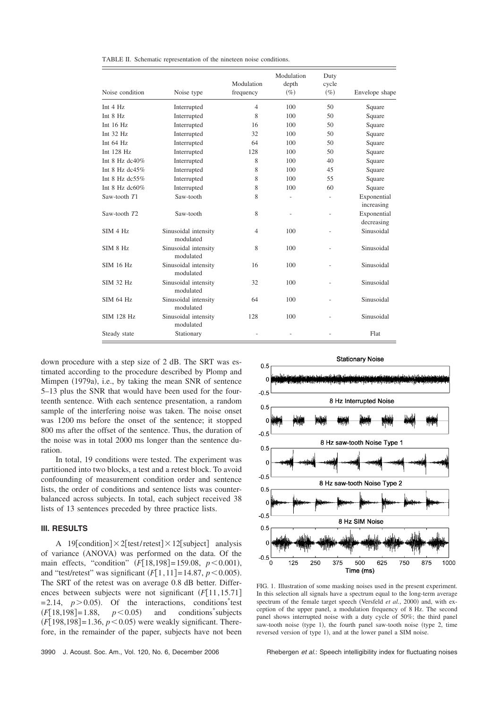| TABLE II. Schematic representation of the nineteen noise conditions. |  |  |  |  |  |  |
|----------------------------------------------------------------------|--|--|--|--|--|--|
|----------------------------------------------------------------------|--|--|--|--|--|--|

| Noise condition      | Noise type                        | Modulation<br>frequency | Modulation<br>depth<br>$(\%)$ | Duty<br>cycle<br>$(\%)$ | Envelope shape            |
|----------------------|-----------------------------------|-------------------------|-------------------------------|-------------------------|---------------------------|
| Int $4$ Hz           | Interrupted                       | $\overline{4}$          | 100                           | 50                      | Square                    |
| Int 8 Hz             | Interrupted                       | 8                       | 100                           | 50                      | Square                    |
| Int $16$ Hz          | Interrupted                       | 16                      | 100                           | 50                      | Square                    |
| Int $32$ Hz          | Interrupted                       | 32                      | 100                           | 50                      | Square                    |
| Int $64$ Hz          | Interrupted                       | 64                      | 100                           | 50                      | Square                    |
| Int 128 Hz           | Interrupted                       | 128                     | 100                           | 50                      | Square                    |
| Int $8$ Hz dc $40\%$ | Interrupted                       | 8                       | 100                           | 40                      | Square                    |
| Int 8 Hz dc45 $%$    | Interrupted                       | 8                       | 100                           | 45                      | Square                    |
| Int 8 Hz dc55%       | Interrupted                       | 8                       | 100                           | 55                      | Square                    |
| Int $8$ Hz dc $60\%$ | Interrupted                       | 8                       | 100                           | 60                      | Square                    |
| Saw-tooth T1         | Saw-tooth                         | 8                       |                               |                         | Exponential<br>increasing |
| Saw-tooth T2         | Saw-tooth                         | 8                       | $\overline{a}$                |                         | Exponential<br>decreasing |
| SIM 4 Hz             | Sinusoidal intensity<br>modulated | $\overline{4}$          | 100                           |                         | Sinusoidal                |
| SIM 8 Hz             | Sinusoidal intensity<br>modulated | 8                       | 100                           |                         | Sinusoidal                |
| SIM 16 Hz            | Sinusoidal intensity<br>modulated | 16                      | 100                           |                         | Sinusoidal                |
| <b>SIM 32 Hz</b>     | Sinusoidal intensity<br>modulated | 32                      | 100                           |                         | Sinusoidal                |
| SIM 64 Hz            | Sinusoidal intensity<br>modulated | 64                      | 100                           |                         | Sinusoidal                |
| SIM 128 Hz           | Sinusoidal intensity<br>modulated | 128                     | 100                           |                         | Sinusoidal                |
| Steady state         | Stationary                        |                         |                               |                         | Flat                      |

down procedure with a step size of 2 dB. The SRT was estimated according to the procedure described by Plomp and Mimpen (1979a), i.e., by taking the mean SNR of sentence 5–13 plus the SNR that would have been used for the fourteenth sentence. With each sentence presentation, a random sample of the interfering noise was taken. The noise onset was 1200 ms before the onset of the sentence; it stopped 800 ms after the offset of the sentence. Thus, the duration of the noise was in total 2000 ms longer than the sentence duration.

In total, 19 conditions were tested. The experiment was partitioned into two blocks, a test and a retest block. To avoid confounding of measurement condition order and sentence lists, the order of conditions and sentence lists was counterbalanced across subjects. In total, each subject received 38 lists of 13 sentences preceded by three practice lists.

## **III. RESULTS**

A 19 [condition]  $\times$  2 [test/ retest]  $\times$  12 [subject] analysis of variance (ANOVA) was performed on the data. Of the main effects, "condition"  $(F[18,198] = 159.08, p < 0.001)$ , and "test/retest" was significant  $(F[1, 11] = 14.87, p < 0.005)$ . The SRT of the retest was on average 0.8 dB better. Differences between subjects were not significant  $(F[11, 15.71])$  $= 2.14, p > 0.05$ . Of the interactions, conditions<sup>\*</sup>test  $(F[18,198] = 1.88, p < 0.05)$  and conditions<sup>\*</sup>subjects  $(F[198,198] = 1.36, p < 0.05)$  were weakly significant. Therefore, in the remainder of the paper, subjects have not been



FIG. 1. Illustration of some masking noises used in the present experiment. In this selection all signals have a spectrum equal to the long-term average spectrum of the female target speech (Versfeld et al., 2000) and, with exception of the upper panel, a modulation frequency of 8 Hz. The second panel shows interrupted noise with a duty cycle of 50%; the third panel saw-tooth noise (type 1), the fourth panel saw-tooth noise (type 2, time reversed version of type 1), and at the lower panel a SIM noise.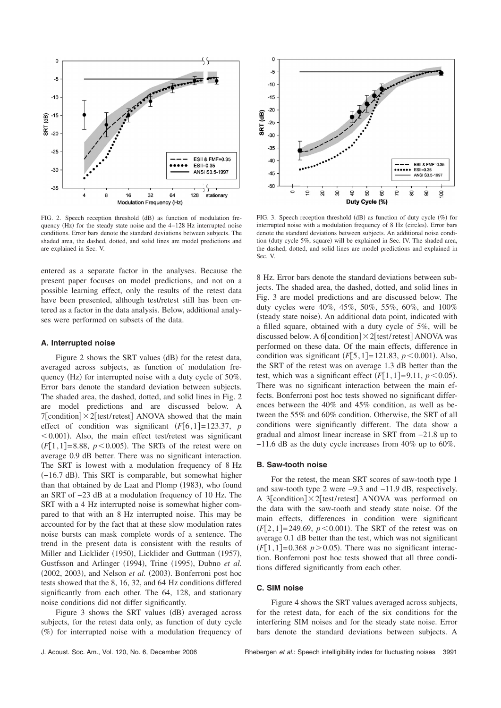

FIG. 2. Speech reception threshold (dB) as function of modulation frequency  $(Hz)$  for the steady state noise and the  $4-128$  Hz interrupted noise conditions. Error bars denote the standard deviations between subjects. The shaded area, the dashed, dotted, and solid lines are model predictions and are explained in Sec. V.

entered as a separate factor in the analyses. Because the present paper focuses on model predictions, and not on a possible learning effect, only the results of the retest data have been presented, although test/retest still has been entered as a factor in the data analysis. Below, additional analyses were performed on subsets of the data.

#### **A. Interrupted noise**

Figure 2 shows the SRT values  $(dB)$  for the retest data, averaged across subjects, as function of modulation frequency (Hz) for interrupted noise with a duty cycle of 50%. Error bars denote the standard deviation between subjects. The shaded area, the dashed, dotted, and solid lines in Fig. 2 are model predictions and are discussed below. A 7[condition] $\times$ 2[test/retest] ANOVA showed that the main effect of condition was significant  $(F[6, 1] = 123.37, p$  $< 0.001$ ). Also, the main effect test/retest was significant  $(F[1, 1] = 8.88, p < 0.005)$ . The SRTs of the retest were on average 0.9 dB better. There was no significant interaction. The SRT is lowest with a modulation frequency of 8 Hz !−16.7 dB". This SRT is comparable, but somewhat higher than that obtained by de Laat and Plomp  $(1983)$ , who found an SRT of −23 dB at a modulation frequency of 10 Hz. The SRT with a 4 Hz interrupted noise is somewhat higher compared to that with an 8 Hz interrupted noise. This may be accounted for by the fact that at these slow modulation rates noise bursts can mask complete words of a sentence. The trend in the present data is consistent with the results of Miller and Licklider (1950), Licklider and Guttman (1957), Gustfsson and Arlinger (1994), Trine (1995), Dubno et al.  $(2002, 2003)$ , and Nelson *et al.*  $(2003)$ . Bonferroni post hoc tests showed that the 8, 16, 32, and 64 Hz conditions differed significantly from each other. The 64, 128, and stationary noise conditions did not differ significantly.

Figure 3 shows the SRT values (dB) averaged across subjects, for the retest data only, as function of duty cycle  $(\%)$  for interrupted noise with a modulation frequency of



FIG. 3. Speech reception threshold  $(dB)$  as function of duty cycle  $(\%)$  for interrupted noise with a modulation frequency of 8 Hz (circles). Error bars denote the standard deviations between subjects. An additional noise condition (duty cycle 5%, square) will be explained in Sec. IV. The shaded area, the dashed, dotted, and solid lines are model predictions and explained in Sec. V.

8 Hz. Error bars denote the standard deviations between subjects. The shaded area, the dashed, dotted, and solid lines in Fig. 3 are model predictions and are discussed below. The duty cycles were 40%, 45%, 50%, 55%, 60%, and 100% (steady state noise). An additional data point, indicated with a filled square, obtained with a duty cycle of 5%, will be discussed below. A 6 [condition]  $\times$  2 [test/ retest] ANOVA was performed on these data. Of the main effects, difference in condition was significant  $(F[5, 1] = 121.83, p < 0.001)$ . Also, the SRT of the retest was on average 1.3 dB better than the test, which was a significant effect  $(F[1,1] = 9.11, p < 0.05)$ . There was no significant interaction between the main effects. Bonferroni post hoc tests showed no significant differences between the 40% and 45% condition, as well as between the 55% and 60% condition. Otherwise, the SRT of all conditions were significantly different. The data show a gradual and almost linear increase in SRT from −21.8 up to −11.6 dB as the duty cycle increases from 40% up to 60%.

#### **B. Saw-tooth noise**

For the retest, the mean SRT scores of saw-tooth type 1 and saw-tooth type 2 were −9.3 and −11.9 dB, respectively. A 3[condition] $\times$ 2[test/retest] ANOVA was performed on the data with the saw-tooth and steady state noise. Of the main effects, differences in condition were significant  $(F[2, 1] = 249.69, p < 0.001)$ . The SRT of the retest was on average 0.1 dB better than the test, which was not significant  $(F[1, 1] = 0.368 \text{ p} > 0.05)$ . There was no significant interaction. Bonferroni post hoc tests showed that all three conditions differed significantly from each other.

## **C. SIM noise**

Figure 4 shows the SRT values averaged across subjects, for the retest data, for each of the six conditions for the interfering SIM noises and for the steady state noise. Error bars denote the standard deviations between subjects. A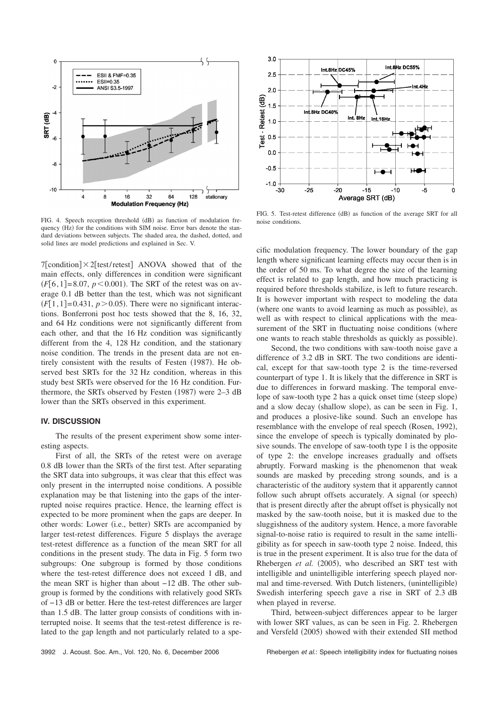

FIG. 4. Speech reception threshold (dB) as function of modulation frequency (Hz) for the conditions with SIM noise. Error bars denote the standard deviations between subjects. The shaded area, the dashed, dotted, and solid lines are model predictions and explained in Sec. V.

 $7$ [condition] $\times$ 2[test/retest] ANOVA showed that of the main effects, only differences in condition were significant  $(F[6, 1] = 8.07, p < 0.001)$ . The SRT of the retest was on average 0.1 dB better than the test, which was not significant  $(F[1,1] = 0.431, p > 0.05)$ . There were no significant interactions. Bonferroni post hoc tests showed that the 8, 16, 32, and 64 Hz conditions were not significantly different from each other, and that the 16 Hz condition was significantly different from the 4, 128 Hz condition, and the stationary noise condition. The trends in the present data are not entirely consistent with the results of Festen (1987). He observed best SRTs for the 32 Hz condition, whereas in this study best SRTs were observed for the 16 Hz condition. Furthermore, the SRTs observed by Festen  $(1987)$  were 2–3 dB lower than the SRTs observed in this experiment.

## **IV. DISCUSSION**

The results of the present experiment show some interesting aspects.

First of all, the SRTs of the retest were on average 0.8 dB lower than the SRTs of the first test. After separating the SRT data into subgroups, it was clear that this effect was only present in the interrupted noise conditions. A possible explanation may be that listening into the gaps of the interrupted noise requires practice. Hence, the learning effect is expected to be more prominent when the gaps are deeper. In other words: Lower (i.e., better) SRTs are accompanied by larger test-retest differences. Figure 5 displays the average test-retest difference as a function of the mean SRT for all conditions in the present study. The data in Fig. 5 form two subgroups: One subgroup is formed by those conditions where the test-retest difference does not exceed 1 dB, and the mean SRT is higher than about −12 dB. The other subgroup is formed by the conditions with relatively good SRTs of −13 dB or better. Here the test-retest differences are larger than 1.5 dB. The latter group consists of conditions with interrupted noise. It seems that the test-retest difference is related to the gap length and not particularly related to a spe-



FIG. 5. Test-retest difference (dB) as function of the average SRT for all noise conditions.

cific modulation frequency. The lower boundary of the gap length where significant learning effects may occur then is in the order of 50 ms. To what degree the size of the learning effect is related to gap length, and how much practicing is required before thresholds stabilize, is left to future research. It is however important with respect to modeling the data (where one wants to avoid learning as much as possible), as well as with respect to clinical applications with the measurement of the SRT in fluctuating noise conditions (where one wants to reach stable thresholds as quickly as possible).

Second, the two conditions with saw-tooth noise gave a difference of 3.2 dB in SRT. The two conditions are identical, except for that saw-tooth type 2 is the time-reversed counterpart of type 1. It is likely that the difference in SRT is due to differences in forward masking. The temporal envelope of saw-tooth type 2 has a quick onset time (steep slope) and a slow decay (shallow slope), as can be seen in Fig. 1, and produces a plosive-like sound. Such an envelope has resemblance with the envelope of real speech (Rosen, 1992), since the envelope of speech is typically dominated by plosive sounds. The envelope of saw-tooth type 1 is the opposite of type 2: the envelope increases gradually and offsets abruptly. Forward masking is the phenomenon that weak sounds are masked by preceding strong sounds, and is a characteristic of the auditory system that it apparently cannot follow such abrupt offsets accurately. A signal (or speech) that is present directly after the abrupt offset is physically not masked by the saw-tooth noise, but it is masked due to the sluggishness of the auditory system. Hence, a more favorable signal-to-noise ratio is required to result in the same intelligibility as for speech in saw-tooth type 2 noise. Indeed, this is true in the present experiment. It is also true for the data of Rhebergen *et al.* (2005), who described an SRT test with intelligible and unintelligible interfering speech played normal and time-reversed. With Dutch listeners, (unintelligible) Swedish interfering speech gave a rise in SRT of 2.3 dB when played in reverse.

Third, between-subject differences appear to be larger with lower SRT values, as can be seen in Fig. 2. Rhebergen and Versfeld (2005) showed with their extended SII method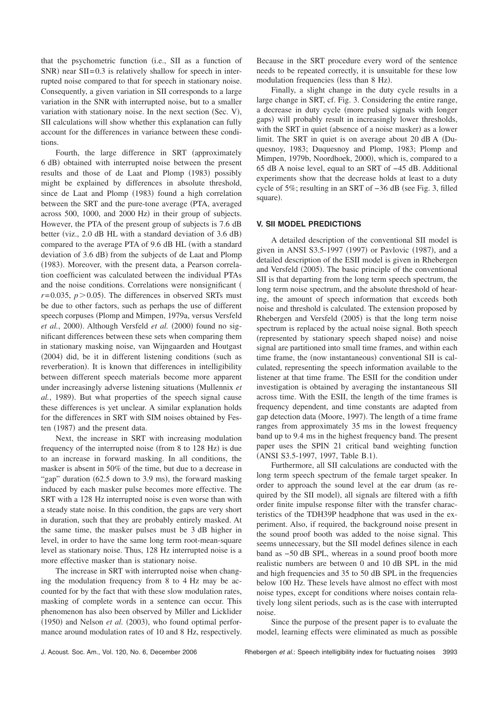that the psychometric function (i.e., SII as a function of  $SNR$ ) near  $SII = 0.3$  is relatively shallow for speech in interrupted noise compared to that for speech in stationary noise. Consequently, a given variation in SII corresponds to a large variation in the SNR with interrupted noise, but to a smaller variation with stationary noise. In the next section  $(Sec. V)$ , SII calculations will show whether this explanation can fully account for the differences in variance between these conditions.

Fourth, the large difference in SRT (approximately 6 dB" obtained with interrupted noise between the present results and those of de Laat and Plomp (1983) possibly might be explained by differences in absolute threshold, since de Laat and Plomp (1983) found a high correlation between the SRT and the pure-tone average (PTA, averaged across 500, 1000, and 2000 Hz) in their group of subjects. However, the PTA of the present group of subjects is 7.6 dB better (viz.,  $2.0$  dB HL with a standard deviation of  $3.6$  dB) compared to the average PTA of 9.6 dB HL (with a standard deviation of 3.6 dB) from the subjects of de Laat and Plomp  $(1983)$ . Moreover, with the present data, a Pearson correlation coefficient was calculated between the individual PTAs and the noise conditions. Correlations were nonsignificant (  $r = 0.035$ ,  $p > 0.05$ ). The differences in observed SRTs must be due to other factors, such as perhaps the use of different speech corpuses (Plomp and Mimpen, 1979a, versus Versfeld *et al.*, 2000). Although Versfeld *et al.* (2000) found no significant differences between these sets when comparing them in stationary masking noise, van Wijngaarden and Houtgast  $(2004)$  did, be it in different listening conditions (such as reverberation). It is known that differences in intelligibility between different speech materials become more apparent under increasingly adverse listening situations (Mullennix *et al.*, 1989). But what properties of the speech signal cause these differences is yet unclear. A similar explanation holds for the differences in SRT with SIM noises obtained by Festen (1987) and the present data.

Next, the increase in SRT with increasing modulation frequency of the interrupted noise (from  $8$  to  $128$  Hz) is due to an increase in forward masking. In all conditions, the masker is absent in 50% of the time, but due to a decrease in "gap" duration  $(62.5$  down to 3.9 ms), the forward masking induced by each masker pulse becomes more effective. The SRT with a 128 Hz interrupted noise is even worse than with a steady state noise. In this condition, the gaps are very short in duration, such that they are probably entirely masked. At the same time, the masker pulses must be 3 dB higher in level, in order to have the same long term root-mean-square level as stationary noise. Thus, 128 Hz interrupted noise is a more effective masker than is stationary noise.

The increase in SRT with interrupted noise when changing the modulation frequency from 8 to 4 Hz may be accounted for by the fact that with these slow modulation rates, masking of complete words in a sentence can occur. This phenomenon has also been observed by Miller and Licklider  $(1950)$  and Nelson *et al.*  $(2003)$ , who found optimal performance around modulation rates of 10 and 8 Hz, respectively. Because in the SRT procedure every word of the sentence needs to be repeated correctly, it is unsuitable for these low modulation frequencies (less than 8 Hz).

Finally, a slight change in the duty cycle results in a large change in SRT, cf. Fig. 3. Considering the entire range, a decrease in duty cycle (more pulsed signals with longer gaps) will probably result in increasingly lower thresholds, with the SRT in quiet (absence of a noise masker) as a lower limit. The SRT in quiet is on average about  $20$  dB A (Duquesnoy, 1983; Duquesnoy and Plomp, 1983; Plomp and Mimpen, 1979b, Noordhoek, 2000), which is, compared to a 65 dB A noise level, equal to an SRT of −45 dB. Additional experiments show that the decrease holds at least to a duty cycle of 5%; resulting in an SRT of −36 dB (see Fig. 3, filled square).

#### **V. SII MODEL PREDICTIONS**

A detailed description of the conventional SII model is given in ANSI  $S3.5-1997$  (1997) or Pavlovic (1987), and a detailed description of the ESII model is given in Rhebergen and Versfeld (2005). The basic principle of the conventional SII is that departing from the long term speech spectrum, the long term noise spectrum, and the absolute threshold of hearing, the amount of speech information that exceeds both noise and threshold is calculated. The extension proposed by Rhebergen and Versfeld (2005) is that the long term noise spectrum is replaced by the actual noise signal. Both speech (represented by stationary speech shaped noise) and noise signal are partitioned into small time frames, and within each time frame, the (now instantaneous) conventional SII is calculated, representing the speech information available to the listener at that time frame. The ESII for the condition under investigation is obtained by averaging the instantaneous SII across time. With the ESII, the length of the time frames is frequency dependent, and time constants are adapted from gap detection data (Moore, 1997). The length of a time frame ranges from approximately 35 ms in the lowest frequency band up to 9.4 ms in the highest frequency band. The present paper uses the SPIN 21 critical band weighting function (ANSI S3.5-1997, 1997, Table B.1).

Furthermore, all SII calculations are conducted with the long term speech spectrum of the female target speaker. In order to approach the sound level at the ear drum (as required by the SII model), all signals are filtered with a fifth order finite impulse response filter with the transfer characteristics of the TDH39P headphone that was used in the experiment. Also, if required, the background noise present in the sound proof booth was added to the noise signal. This seems unnecessary, but the SII model defines silence in each band as −50 dB SPL, whereas in a sound proof booth more realistic numbers are between 0 and 10 dB SPL in the mid and high frequencies and 35 to 50 dB SPL in the frequencies below 100 Hz. These levels have almost no effect with most noise types, except for conditions where noises contain relatively long silent periods, such as is the case with interrupted noise.

Since the purpose of the present paper is to evaluate the model, learning effects were eliminated as much as possible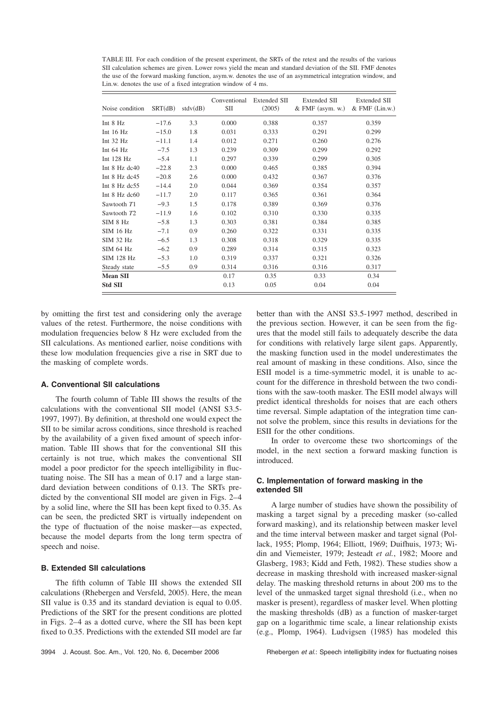TABLE III. For each condition of the present experiment, the SRTs of the retest and the results of the various SII calculation schemes are given. Lower rows yield the mean and standard deviation of the SII. FMF denotes the use of the forward masking function, asym.w. denotes the use of an asymmetrical integration window, and Lin.w. denotes the use of a fixed integration window of 4 ms.

| Noise condition         | SRT(dB) | stdv(dB) | Conventional<br>SШ | Extended SII<br>(2005) | Extended SII<br>$&$ FMF (asym. w.) | <b>Extended SII</b><br>$&$ FMF $(Lin.w.)$ |
|-------------------------|---------|----------|--------------------|------------------------|------------------------------------|-------------------------------------------|
| Int 8 Hz                | $-17.6$ | 3.3      | 0.000              | 0.388                  | 0.357                              | 0.359                                     |
| Int $16$ Hz             | $-15.0$ | 1.8      | 0.031              | 0.333                  | 0.291                              | 0.299                                     |
| Int $32$ Hz             | $-11.1$ | 1.4      | 0.012              | 0.271                  | 0.260                              | 0.276                                     |
| Int $64$ Hz             | $-7.5$  | 1.3      | 0.239              | 0.309                  | 0.299                              | 0.292                                     |
| Int $128$ Hz            | $-5.4$  | 1.1      | 0.297              | 0.339                  | 0.299                              | 0.305                                     |
| Int 8 Hz dc40           | $-22.8$ | 2.3      | 0.000              | 0.465                  | 0.385                              | 0.394                                     |
| Int $8$ Hz dc $45$      | $-20.8$ | 2.6      | 0.000              | 0.432                  | 0.367                              | 0.376                                     |
| Int $8$ Hz dc $55$      | $-14.4$ | 2.0      | 0.044              | 0.369                  | 0.354                              | 0.357                                     |
| Int $8$ Hz dc $60$      | $-11.7$ | 2.0      | 0.117              | 0.365                  | 0.361                              | 0.364                                     |
| Sawtooth T1             | $-9.3$  | 1.5      | 0.178              | 0.389                  | 0.369                              | 0.376                                     |
| Sawtooth T <sub>2</sub> | $-11.9$ | 1.6      | 0.102              | 0.310                  | 0.330                              | 0.335                                     |
| SIM 8 Hz                | $-5.8$  | 1.3      | 0.303              | 0.381                  | 0.384                              | 0.385                                     |
| <b>SIM 16 Hz</b>        | $-7.1$  | 0.9      | 0.260              | 0.322                  | 0.331                              | 0.335                                     |
| <b>SIM 32 Hz</b>        | $-6.5$  | 1.3      | 0.308              | 0.318                  | 0.329                              | 0.335                                     |
| SIM 64 Hz               | $-6.2$  | 0.9      | 0.289              | 0.314                  | 0.315                              | 0.323                                     |
| SIM 128 Hz              | $-5.3$  | 1.0      | 0.319              | 0.337                  | 0.321                              | 0.326                                     |
| Steady state            | $-5.5$  | 0.9      | 0.314              | 0.316                  | 0.316                              | 0.317                                     |
| <b>Mean SII</b>         |         |          | 0.17               | 0.35                   | 0.33                               | 0.34                                      |
| Std SII                 |         |          | 0.13               | 0.05                   | 0.04                               | 0.04                                      |

by omitting the first test and considering only the average values of the retest. Furthermore, the noise conditions with modulation frequencies below 8 Hz were excluded from the SII calculations. As mentioned earlier, noise conditions with these low modulation frequencies give a rise in SRT due to the masking of complete words.

## **A. Conventional SII calculations**

The fourth column of Table III shows the results of the calculations with the conventional SII model (ANSI S3.5-1997, 1997). By definition, at threshold one would expect the SII to be similar across conditions, since threshold is reached by the availability of a given fixed amount of speech information. Table III shows that for the conventional SII this certainly is not true, which makes the conventional SII model a poor predictor for the speech intelligibility in fluctuating noise. The SII has a mean of 0.17 and a large standard deviation between conditions of 0.13. The SRTs predicted by the conventional SII model are given in Figs. 2–4 by a solid line, where the SII has been kept fixed to 0.35. As can be seen, the predicted SRT is virtually independent on the type of fluctuation of the noise masker—as expected, because the model departs from the long term spectra of speech and noise.

#### **B. Extended SII calculations**

The fifth column of Table III shows the extended SII calculations (Rhebergen and Versfeld, 2005). Here, the mean SII value is 0.35 and its standard deviation is equal to 0.05. Predictions of the SRT for the present conditions are plotted in Figs. 2–4 as a dotted curve, where the SII has been kept fixed to 0.35. Predictions with the extended SII model are far better than with the ANSI S3.5-1997 method, described in the previous section. However, it can be seen from the figures that the model still fails to adequately describe the data for conditions with relatively large silent gaps. Apparently, the masking function used in the model underestimates the real amount of masking in these conditions. Also, since the ESII model is a time-symmetric model, it is unable to account for the difference in threshold between the two conditions with the saw-tooth masker. The ESII model always will predict identical thresholds for noises that are each others time reversal. Simple adaptation of the integration time cannot solve the problem, since this results in deviations for the ESII for the other conditions.

In order to overcome these two shortcomings of the model, in the next section a forward masking function is introduced.

## **C. Implementation of forward masking in the extended SII**

A large number of studies have shown the possibility of masking a target signal by a preceding masker (so-called forward masking), and its relationship between masker level and the time interval between masker and target signal (Pollack, 1955; Plomp, 1964; Elliott, 1969; Duifhuis, 1973; Widin and Viemeister, 1979; Jesteadt *et al.*, 1982; Moore and Glasberg, 1983; Kidd and Feth, 1982). These studies show a decrease in masking threshold with increased masker-signal delay. The masking threshold returns in about 200 ms to the level of the unmasked target signal threshold (i.e., when no masker is present), regardless of masker level. When plotting the masking thresholds (dB) as a function of masker-target gap on a logarithmic time scale, a linear relationship exists  $(e.g., Plomp, 1964)$ . Ludvigsen  $(1985)$  has modeled this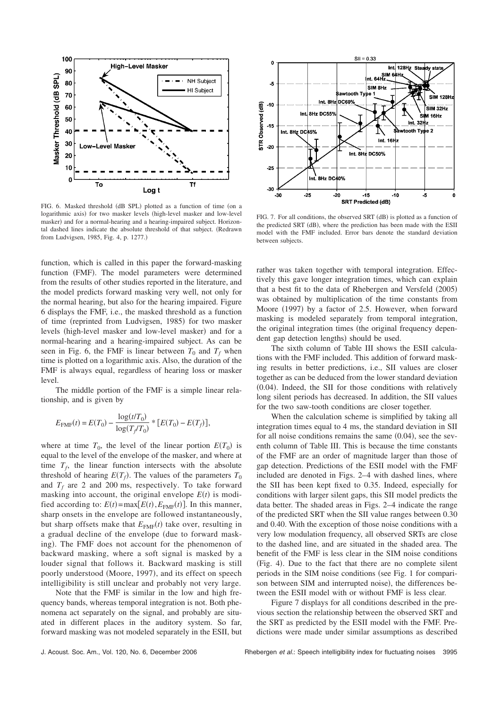

FIG. 6. Masked threshold (dB SPL) plotted as a function of time (on a logarithmic axis) for two masker levels (high-level masker and low-level masker) and for a normal-hearing and a hearing-impaired subject. Horizontal dashed lines indicate the absolute threshold of that subject. (Redrawn from Ludvigsen, 1985, Fig. 4, p. 1277.)

function, which is called in this paper the forward-masking function (FMF). The model parameters were determined from the results of other studies reported in the literature, and the model predicts forward masking very well, not only for the normal hearing, but also for the hearing impaired. Figure 6 displays the FMF, i.e., the masked threshold as a function of time (reprinted from Ludvigsen, 1985) for two masker levels (high-level masker and low-level masker) and for a normal-hearing and a hearing-impaired subject. As can be seen in Fig. 6, the FMF is linear between  $T_0$  and  $T_f$  when time is plotted on a logarithmic axis. Also, the duration of the FMF is always equal, regardless of hearing loss or masker level.

The middle portion of the FMF is a simple linear relationship, and is given by

$$
E_{\text{FMF}}(t) = E(T_0) - \frac{\log(t/T_0)}{\log(T_f/T_0)} * [E(T_0) - E(T_f)],
$$

where at time  $T_0$ , the level of the linear portion  $E(T_0)$  is equal to the level of the envelope of the masker, and where at time  $T_f$ , the linear function intersects with the absolute threshold of hearing  $E(T_f)$ . The values of the parameters  $T_0$ and  $T_f$  are 2 and 200 ms, respectively. To take forward masking into account, the original envelope  $E(t)$  is modified according to:  $E(t) = \max[E(t), E_{\text{FME}}(t)]$ . In this manner, sharp onsets in the envelope are followed instantaneously, but sharp offsets make that  $E_{\text{FMF}}(t)$  take over, resulting in a gradual decline of the envelope (due to forward masking). The FMF does not account for the phenomenon of backward masking, where a soft signal is masked by a louder signal that follows it. Backward masking is still poorly understood (Moore, 1997), and its effect on speech intelligibility is still unclear and probably not very large.

Note that the FMF is similar in the low and high frequency bands, whereas temporal integration is not. Both phenomena act separately on the signal, and probably are situated in different places in the auditory system. So far, forward masking was not modeled separately in the ESII, but



FIG. 7. For all conditions, the observed SRT (dB) is plotted as a function of the predicted SRT (dB), where the prediction has been made with the ESII model with the FMF included. Error bars denote the standard deviation between subjects.

rather was taken together with temporal integration. Effectively this gave longer integration times, which can explain that a best fit to the data of Rhebergen and Versfeld  $(2005)$ was obtained by multiplication of the time constants from Moore (1997) by a factor of 2.5. However, when forward masking is modeled separately from temporal integration, the original integration times (the original frequency dependent gap detection lengths) should be used.

The sixth column of Table III shows the ESII calculations with the FMF included. This addition of forward masking results in better predictions, i.e., SII values are closer together as can be deduced from the lower standard deviation  $(0.04)$ . Indeed, the SII for those conditions with relatively long silent periods has decreased. In addition, the SII values for the two saw-tooth conditions are closer together.

When the calculation scheme is simplified by taking all integration times equal to 4 ms, the standard deviation in SII for all noise conditions remains the same  $(0.04)$ , see the seventh column of Table III. This is because the time constants of the FMF are an order of magnitude larger than those of gap detection. Predictions of the ESII model with the FMF included are denoted in Figs. 2–4 with dashed lines, where the SII has been kept fixed to 0.35. Indeed, especially for conditions with larger silent gaps, this SII model predicts the data better. The shaded areas in Figs. 2–4 indicate the range of the predicted SRT when the SII value ranges between 0.30 and 0.40. With the exception of those noise conditions with a very low modulation frequency, all observed SRTs are close to the dashed line, and are situated in the shaded area. The benefit of the FMF is less clear in the SIM noise conditions (Fig. 4). Due to the fact that there are no complete silent periods in the SIM noise conditions (see Fig. 1 for comparison between SIM and interrupted noise), the differences between the ESII model with or without FMF is less clear.

Figure 7 displays for all conditions described in the previous section the relationship between the observed SRT and the SRT as predicted by the ESII model with the FMF. Predictions were made under similar assumptions as described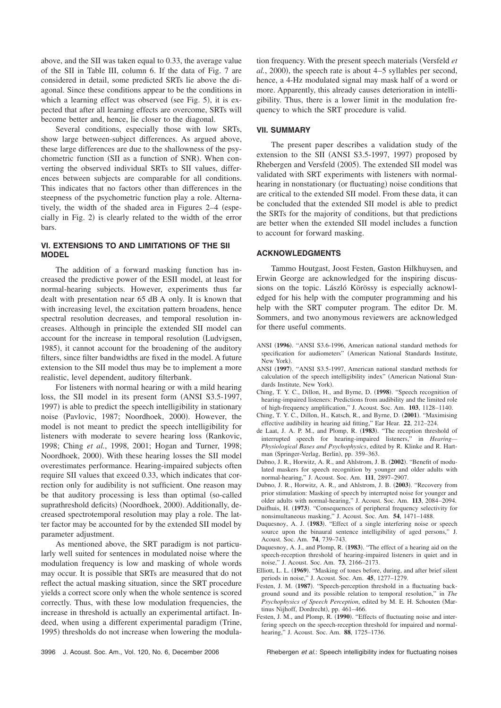above, and the SII was taken equal to 0.33, the average value of the SII in Table III, column 6. If the data of Fig. 7 are considered in detail, some predicted SRTs lie above the diagonal. Since these conditions appear to be the conditions in which a learning effect was observed (see Fig. 5), it is expected that after all learning effects are overcome, SRTs will become better and, hence, lie closer to the diagonal.

Several conditions, especially those with low SRTs, show large between-subject differences. As argued above, these large differences are due to the shallowness of the psychometric function (SII as a function of SNR). When converting the observed individual SRTs to SII values, differences between subjects are comparable for all conditions. This indicates that no factors other than differences in the steepness of the psychometric function play a role. Alternatively, the width of the shaded area in Figures  $2-4$  (especially in Fig.  $2$ ) is clearly related to the width of the error bars.

## **VI. EXTENSIONS TO AND LIMITATIONS OF THE SII MODEL**

The addition of a forward masking function has increased the predictive power of the ESII model, at least for normal-hearing subjects. However, experiments thus far dealt with presentation near 65 dB A only. It is known that with increasing level, the excitation pattern broadens, hence spectral resolution decreases, and temporal resolution increases. Although in principle the extended SII model can account for the increase in temporal resolution (Ludvigsen, 1985), it cannot account for the broadening of the auditory filters, since filter bandwidths are fixed in the model. A future extension to the SII model thus may be to implement a more realistic, level dependent, auditory filterbank.

For listeners with normal hearing or with a mild hearing loss, the SII model in its present form (ANSI S3.5-1997, 1997) is able to predict the speech intelligibility in stationary noise (Pavlovic, 1987; Noordhoek, 2000). However, the model is not meant to predict the speech intelligibility for listeners with moderate to severe hearing loss (Rankovic, 1998; Ching *et al.*, 1998, 2001; Hogan and Turner, 1998; Noordhoek, 2000). With these hearing losses the SII model overestimates performance. Hearing-impaired subjects often require SII values that exceed 0.33, which indicates that correction only for audibility is not sufficient. One reason may be that auditory processing is less than optimal (so-called suprathreshold deficits) (Noordhoek, 2000). Additionally, decreased spectrotemporal resolution may play a role. The latter factor may be accounted for by the extended SII model by parameter adjustment.

As mentioned above, the SRT paradigm is not particularly well suited for sentences in modulated noise where the modulation frequency is low and masking of whole words may occur. It is possible that SRTs are measured that do not reflect the actual masking situation, since the SRT procedure yields a correct score only when the whole sentence is scored correctly. Thus, with these low modulation frequencies, the increase in threshold is actually an experimental artifact. Indeed, when using a different experimental paradigm (Trine, 1995) thresholds do not increase when lowering the modula-

tion frequency. With the present speech materials (Versfeld *et al.*, 2000), the speech rate is about 4–5 syllables per second, hence, a 4-Hz modulated signal may mask half of a word or more. Apparently, this already causes deterioration in intelligibility. Thus, there is a lower limit in the modulation frequency to which the SRT procedure is valid.

#### **VII. SUMMARY**

The present paper describes a validation study of the extension to the SII  $(ANSI S3.5-1997, 1997)$  proposed by Rhebergen and Versfeld (2005). The extended SII model was validated with SRT experiments with listeners with normalhearing in nonstationary (or fluctuating) noise conditions that are critical to the extended SII model. From these data, it can be concluded that the extended SII model is able to predict the SRTs for the majority of conditions, but that predictions are better when the extended SII model includes a function to account for forward masking.

## **ACKNOWLEDGMENTS**

Tammo Houtgast, Joost Festen, Gaston Hilkhuysen, and Erwin George are acknowledged for the inspiring discussions on the topic. László Körössy is especially acknowledged for his help with the computer programming and his help with the SRT computer program. The editor Dr. M. Sommers, and two anonymous reviewers are acknowledged for there useful comments.

- ANSI (1996). "ANSI S3.6-1996, American national standard methods for specification for audiometers" (American National Standards Institute, New York).
- ANSI (1997). "ANSI S3.5-1997, American national standard methods for calculation of the speech intelligibility index" (American National Standards Institute, New York).
- Ching, T. Y. C., Dillon, H., and Byrne, D. (1998). "Speech recognition of hearing-impaired listeners: Predictions from audibility and the limited role of high-frequency amplification," J. Acoust. Soc. Am. **103**, 1128–1140.
- Ching, T. Y. C., Dillon, H., Katsch, R., and Byrne, D. (2001). "Maximising effective audibility in hearing aid fitting," Ear Hear. **22**, 212–224.
- de Laat, J. A. P. M., and Plomp, R. (1983). "The reception threshold of interrupted speech for hearing-impaired listeners," in *Hearing— Physiological Bases and Psychophysics*, edited by R. Klinke and R. Hartman (Springer-Verlag, Berlin), pp. 359-363.
- Dubno, J. R., Horwitz, A. R., and Ahlstrom, J. B. (2002). "Benefit of modulated maskers for speech recognition by younger and older adults with normal-hearing," J. Acoust. Soc. Am. **111**, 2897–2907.
- Dubno, J. R., Horwitz, A. R., and Ahlstrom, J. B. (2003). "Recovery from prior stimulation: Masking of speech by interrupted noise for younger and older adults with normal-hearing," J. Acoust. Soc. Am. **113**, 2084–2094.
- Duifhuis, H. (1973). "Consequences of peripheral frequency selectivity for nonsimultaneous masking," J. Acoust. Soc. Am. **54**, 1471–1488.
- Duquesnoy, A. J. (1983). "Effect of a single interfering noise or speech source upon the binaural sentence intelligibility of aged persons," J. Acoust. Soc. Am. **74**, 739–743.
- Duquesnoy, A. J., and Plomp, R. (1983). "The effect of a hearing aid on the speech-reception threshold of hearing-impaired listeners in quiet and in noise," J. Acoust. Soc. Am. **73**, 2166–2173.
- Elliott, L. L. (1969). "Masking of tones before, during, and after brief silent periods in noise," J. Acoust. Soc. Am. **45**, 1277–1279.
- Festen, J. M. (1987). "Speech-perception threshold in a fluctuating background sound and its possible relation to temporal resolution," in *The* Psychophysics of Speech Perception, edited by M. E. H. Schouten (Martinus Nijhoff, Dordrecht), pp. 461-466.
- Festen, J. M., and Plomp, R. (1990). "Effects of fluctuating noise and interfering speech on the speech-reception threshold for impaired and normalhearing," J. Acoust. Soc. Am. **88**, 1725–1736.